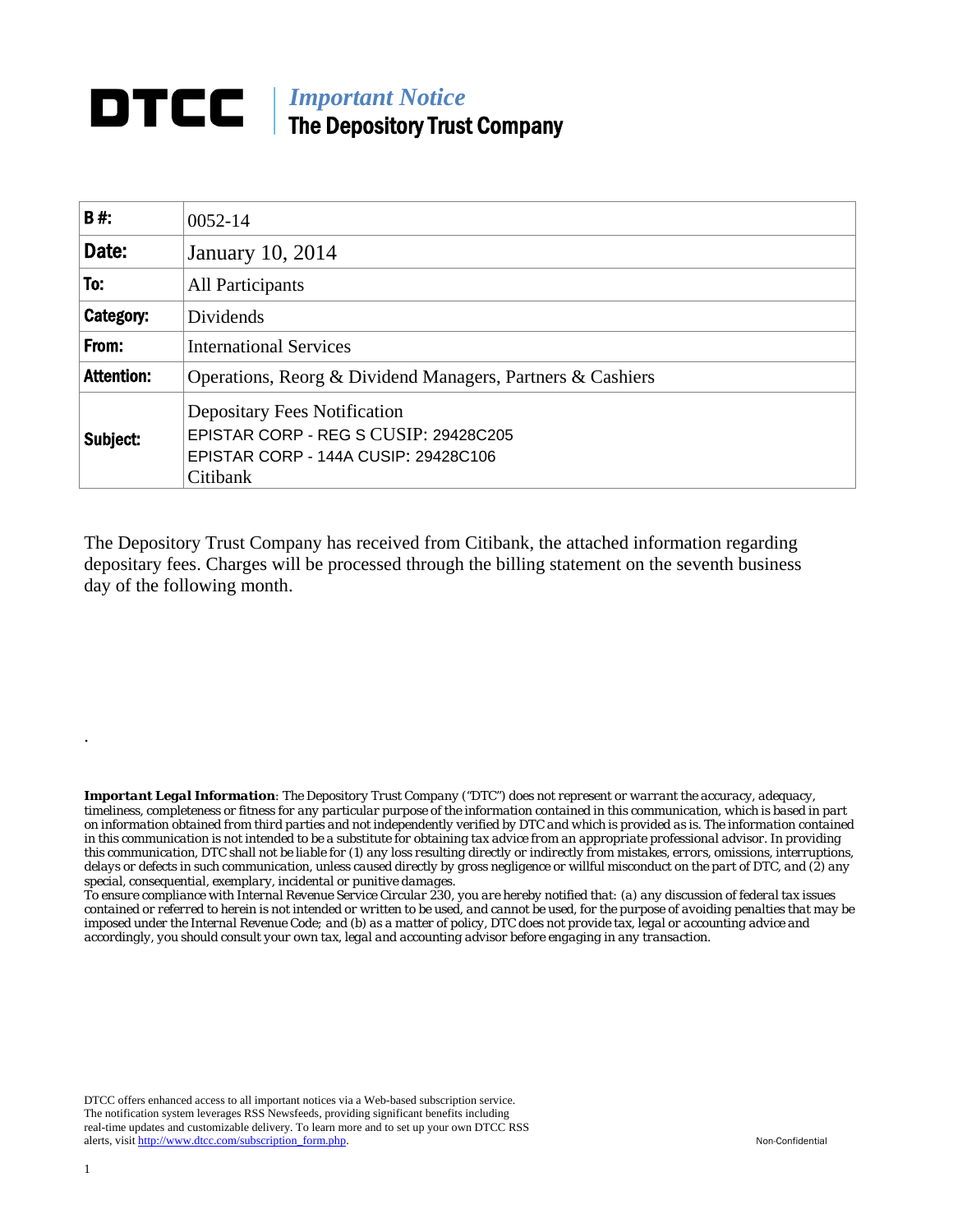## **DTCC** | *Important Notice* The Depository Trust Company

| B#:               | $0052 - 14$                                                                                                                      |  |  |
|-------------------|----------------------------------------------------------------------------------------------------------------------------------|--|--|
| Date:             | January 10, 2014                                                                                                                 |  |  |
| To:               | All Participants                                                                                                                 |  |  |
| Category:         | Dividends                                                                                                                        |  |  |
| From:             | <b>International Services</b>                                                                                                    |  |  |
| <b>Attention:</b> | Operations, Reorg & Dividend Managers, Partners & Cashiers                                                                       |  |  |
| Subject:          | <b>Depositary Fees Notification</b><br>EPISTAR CORP - REG S CUSIP: 29428C205<br>EPISTAR CORP - 144A CUSIP: 29428C106<br>Citibank |  |  |

The Depository Trust Company has received from Citibank, the attached information regarding depositary fees. Charges will be processed through the billing statement on the seventh business day of the following month.

*Important Legal Information: The Depository Trust Company ("DTC") does not represent or warrant the accuracy, adequacy, timeliness, completeness or fitness for any particular purpose of the information contained in this communication, which is based in part on information obtained from third parties and not independently verified by DTC and which is provided as is. The information contained in this communication is not intended to be a substitute for obtaining tax advice from an appropriate professional advisor. In providing this communication, DTC shall not be liable for (1) any loss resulting directly or indirectly from mistakes, errors, omissions, interruptions, delays or defects in such communication, unless caused directly by gross negligence or willful misconduct on the part of DTC, and (2) any special, consequential, exemplary, incidental or punitive damages.* 

*To ensure compliance with Internal Revenue Service Circular 230, you are hereby notified that: (a) any discussion of federal tax issues contained or referred to herein is not intended or written to be used, and cannot be used, for the purpose of avoiding penalties that may be imposed under the Internal Revenue Code; and (b) as a matter of policy, DTC does not provide tax, legal or accounting advice and accordingly, you should consult your own tax, legal and accounting advisor before engaging in any transaction.*

DTCC offers enhanced access to all important notices via a Web-based subscription service. The notification system leverages RSS Newsfeeds, providing significant benefits including real-time updates and customizable delivery. To learn more and to set up your own DTCC RSS alerts, visit http://www.dtcc.com/subscription\_form.php. Non-Confidential

.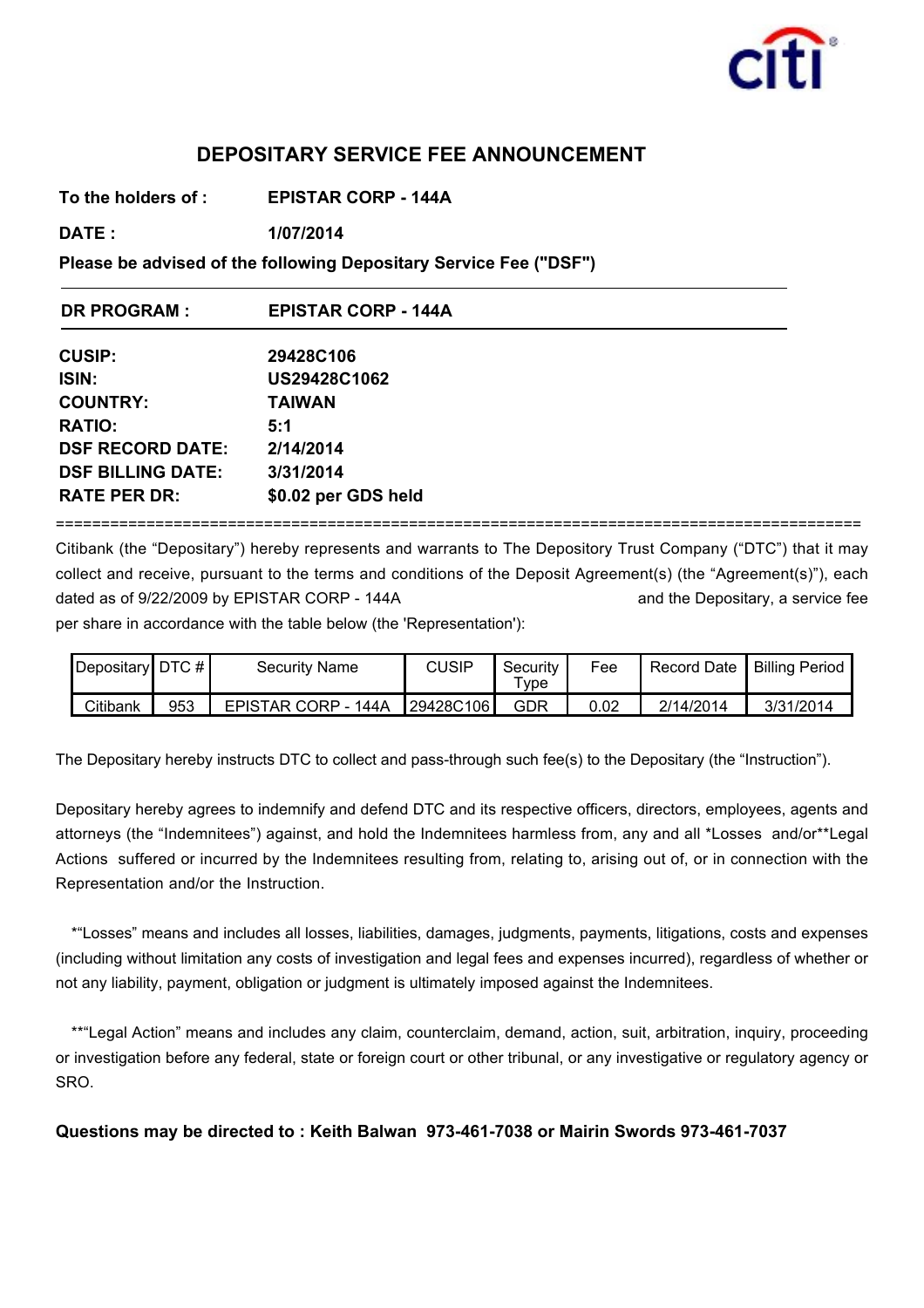

## **DEPOSITARY SERVICE FEE ANNOUNCEMENT**

**To the holders of : EPISTAR CORP - 144A**

**DATE : 1/07/2014**

**Please be advised of the following Depositary Service Fee ("DSF")**

| <b>DR PROGRAM:</b>       | <b>EPISTAR CORP - 144A</b> |
|--------------------------|----------------------------|
| <b>CUSIP:</b>            | 29428C106                  |
| ISIN:                    | US29428C1062               |
| <b>COUNTRY:</b>          | <b>TAIWAN</b>              |
| <b>RATIO:</b>            | 5:1                        |
| <b>DSF RECORD DATE:</b>  | 2/14/2014                  |
| <b>DSF BILLING DATE:</b> | 3/31/2014                  |
| <b>RATE PER DR:</b>      | \$0.02 per GDS held        |

=========================================================================================

Citibank (the "Depositary") hereby represents and warrants to The Depository Trust Company ("DTC") that it may collect and receive, pursuant to the terms and conditions of the Deposit Agreement(s) (the "Agreement(s)"), each dated as of 9/22/2009 by EPISTAR CORP - 144A and the Depositary, a service fee

per share in accordance with the table below (the 'Representation'):

| $\vert$ Depositary $\vert$ DTC # $\vert$ |     | Security Name       | <b>CUSIP</b>     | Security<br>$T$ <sub>V</sub> pe | Fee      | Record Date | <b>Billing Period</b> |
|------------------------------------------|-----|---------------------|------------------|---------------------------------|----------|-------------|-----------------------|
| Citibank                                 | 953 | EPISTAR CORP - 144A | <b>29428C106</b> | GDR                             | $0.02\,$ | 2/14/2014   | 3/31/2014             |

The Depositary hereby instructs DTC to collect and pass-through such fee(s) to the Depositary (the "Instruction").

Depositary hereby agrees to indemnify and defend DTC and its respective officers, directors, employees, agents and attorneys (the "Indemnitees") against, and hold the Indemnitees harmless from, any and all \*Losses and/or\*\*Legal Actions suffered or incurred by the Indemnitees resulting from, relating to, arising out of, or in connection with the Representation and/or the Instruction.

\*"Losses" means and includes all losses, liabilities, damages, judgments, payments, litigations, costs and expenses (including without limitation any costs of investigation and legal fees and expenses incurred), regardless of whether or not any liability, payment, obligation or judgment is ultimately imposed against the Indemnitees.

\*\*"Legal Action" means and includes any claim, counterclaim, demand, action, suit, arbitration, inquiry, proceeding or investigation before any federal, state or foreign court or other tribunal, or any investigative or regulatory agency or SRO.

**Questions may be directed to : Keith Balwan 973-461-7038 or Mairin Swords 973-461-7037**